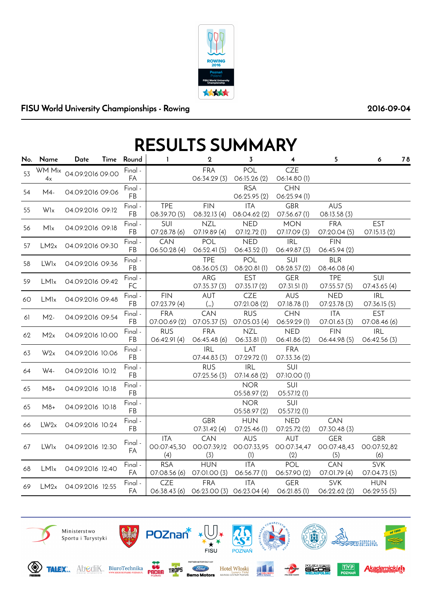

## FISU World University Championships - Rowing 2016-09-04

## RESULTS SUMMARY

|    | No. Name               | Date             | Time Round    | $\mathbf{I}$                     | $\mathbf 2$                | 3                                | $\overline{\mathbf{4}}$          | 5                                | 6                                | 78 |
|----|------------------------|------------------|---------------|----------------------------------|----------------------------|----------------------------------|----------------------------------|----------------------------------|----------------------------------|----|
| 53 | WM Mix<br>4x           | 04.09.2016 09:00 | Final -<br>FA |                                  | <b>FRA</b><br>06:34.29 (3) | POL<br>06:15.26 (2)              | <b>CZE</b><br>O6:14.80 (1)       |                                  |                                  |    |
| 54 | M4-                    | 04.09.2016 09:06 | Final -<br>FB |                                  |                            | <b>RSA</b><br>06:25.95 (2)       | <b>CHN</b><br>O6:25.94(1)        |                                  |                                  |    |
| 55 | Wlx                    | 04.09.2016 09:12 | Final -<br>FB | <b>TPE</b><br>08:39.70 (5)       | <b>FIN</b><br>08:32.13 (4) | <b>ITA</b><br>O8:04.62(2)        | <b>GBR</b><br>07:56.67(1)        | <b>AUS</b><br>08:13.58 (3)       |                                  |    |
| 56 | Mlx                    | 04.09.2016 09:18 | Final -<br>FB | SUI<br>07:28.78 (6)              | <b>NZL</b><br>O7:19.89 (4) | <b>NED</b><br>07:12.72 (1)       | <b>MON</b><br>07:17.09 (3)       | <b>FRA</b><br>07:20.04 (5)       | <b>EST</b><br>O7:15.13 (2)       |    |
| 57 | LM2x                   | 04.09.2016 09:30 | Final -<br>FB | CAN<br>06:50.28(4)               | POL<br>O6:52.41(5)         | <b>NED</b><br>06:43.52 (1)       | <b>IRL</b><br>06:49.87(3)        | <b>FIN</b><br>06:45.94 (2)       |                                  |    |
| 58 | <b>LW<sub>lx</sub></b> | 04.09.2016 09:36 | Final -<br>FB |                                  | <b>TPE</b><br>08:36.05 (3) | POL<br>08:20.81(1)               | SUI<br>08:28.57 (2)              | <b>BLR</b><br>08:46.08 (4)       |                                  |    |
| 59 | <b>LM<sub>lx</sub></b> | 04.09.2016 09:42 | Final -<br>FC |                                  | ARG<br>O7:35.37(3)         | <b>EST</b><br>O7:35.17(2)        | <b>GER</b><br>O7:31.51(1)        | <b>TPE</b><br>O7:55.57(5)        | SUI<br>07:43.65 (4)              |    |
| 60 | LMlx                   | 04.09.2016 09:48 | Final -<br>FB | <b>FIN</b><br>O7:23.79(4)        | <b>AUT</b><br>$(\_)$       | <b>CZE</b><br>07:21.08 (2)       | <b>AUS</b><br>O7:18.78 (1)       | <b>NED</b><br>07:23.78 (3)       | <b>IRL</b><br>07:36.15 (5)       |    |
| 61 | $M2-$                  | 04.09.2016 09:54 | Final -<br>FB | <b>FRA</b><br>07:00.69 (2)       | <b>CAN</b><br>O7:O5.37(5)  | <b>RUS</b><br>07:05.03 (4)       | <b>CHN</b><br>06:59.29 (1)       | <b>ITA</b><br>07:01.63 (3)       | <b>EST</b><br>07:08.46 (6)       |    |
| 62 | M2x                    | 04.09.2016 10:00 | Final -<br>FB | <b>RUS</b><br>06:42.91(4)        | <b>FRA</b><br>O6:45.48(6)  | <b>NZL</b><br>06:33.81(1)        | <b>NED</b><br>06:41.86 (2)       | <b>FIN</b><br>06:44.98 (5)       | <b>IRL</b><br>O6:42.56(3)        |    |
| 63 | W <sub>2x</sub>        | 04.09.2016 10:06 | Final -<br>FB |                                  | <b>IRL</b><br>O7:44.83(3)  | LAT<br>O7:29.72(1)               | <b>FRA</b><br>07:33.36 (2)       |                                  |                                  |    |
| 64 | W4-                    | 04.09.2016 10:12 | Final -<br>FB |                                  | <b>RUS</b><br>O7:25.56(3)  | <b>IRL</b><br>07:14.68 (2)       | SUI<br>07:10.00 (1)              |                                  |                                  |    |
| 65 | $M8+$                  | 04.09.2016 10:18 | Final -<br>FB |                                  |                            | <b>NOR</b><br>05:58.97 (2)       | SUI<br>05:57.12 (1)              |                                  |                                  |    |
| 65 | $M8+$                  | 04.09.2016 10:18 | Final -<br>FB |                                  |                            | <b>NOR</b><br>05:58.97 (2)       | SUI<br>O5:57.12 (1)              |                                  |                                  |    |
| 66 | LW2x                   | 04.09.2016 10:24 | Final -<br>FB |                                  | <b>GBR</b><br>O7:31.42(4)  | <b>HUN</b><br>07:25.46 (1)       | <b>NED</b><br>O7:25.72 (2)       | <b>CAN</b><br>07:30.48 (3)       |                                  |    |
| 67 | <b>LW<sub>lx</sub></b> | 04.09.2016 12:30 | Final -<br>FA | <b>ITA</b><br>00:07:45,30<br>(4) | CAN<br>00:07:39,12<br>(3)  | <b>AUS</b><br>00:07:33,95<br>(1) | <b>AUT</b><br>00:07:34,47<br>(2) | <b>GER</b><br>00:07:48,43<br>(5) | <b>GBR</b><br>00:07:52,82<br>(6) |    |
| 68 | LMlx                   | 04.09.2016 12:40 | Final -<br>FA | <b>RSA</b><br>07:08.56 (6)       | <b>HUN</b><br>07:01.00 (3) | <b>ITA</b><br>O6:56.77(1)        | POL<br>06:57.90 (2)              | CAN<br>07:01.79 (4)              | <b>SVK</b><br>07:04.73 (5)       |    |
| 69 | LM2x                   | 04.09.2016 12:55 | Final -<br>FA | <b>CZE</b><br>06:38.43 (6)       | <b>FRA</b><br>06:23.00(3)  | <b>ITA</b><br>06:23.04 (4)       | <b>GER</b><br>$O6:21.85$ (1)     | SVK<br>O6:22.62(2)               | <b>HUN</b><br>O6:29.55(5)        |    |